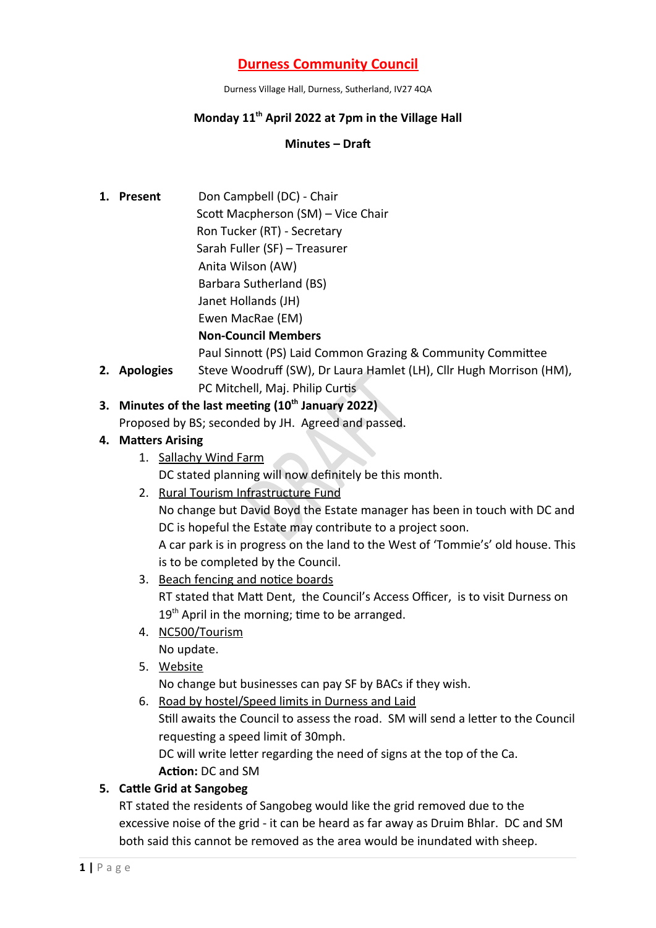# **Durness Community Council**

Durness Village Hall, Durness, Sutherland, IV27 4QA

#### **Monday 11th April 2022 at 7pm in the Village Hall**

#### **Minutes – Draft**

**1. Present** Don Campbell (DC) - Chair Scott Macpherson (SM) – Vice Chair Ron Tucker (RT) - Secretary Sarah Fuller (SF) – Treasurer Anita Wilson (AW) Barbara Sutherland (BS) Janet Hollands (JH) Ewen MacRae (EM)

#### **Non-Council Members**

Paul Sinnott (PS) Laid Common Grazing & Community Committee

**2. Apologies** Steve Woodruff (SW), Dr Laura Hamlet (LH), Cllr Hugh Morrison (HM), PC Mitchell, Maj. Philip Curtis

# **3. Minutes of the last meeting (10th January 2022)**

Proposed by BS; seconded by JH. Agreed and passed.

### **4. Matters Arising**

1. Sallachy Wind Farm

DC stated planning will now definitely be this month.

2. Rural Tourism Infrastructure Fund

No change but David Boyd the Estate manager has been in touch with DC and DC is hopeful the Estate may contribute to a project soon.

A car park is in progress on the land to the West of 'Tommie's' old house. This is to be completed by the Council.

- 3. Beach fencing and notice boards RT stated that Matt Dent, the Council's Access Officer, is to visit Durness on 19<sup>th</sup> April in the morning; time to be arranged.
- 4. NC500/Tourism No update.
- 5. Website

No change but businesses can pay SF by BACs if they wish.

6. Road by hostel/Speed limits in Durness and Laid Still awaits the Council to assess the road. SM will send a letter to the Council requesting a speed limit of 30mph. DC will write letter regarding the need of signs at the top of the Ca. **Action:** DC and SM

### **5. Cattle Grid at Sangobeg**

RT stated the residents of Sangobeg would like the grid removed due to the excessive noise of the grid - it can be heard as far away as Druim Bhlar. DC and SM both said this cannot be removed as the area would be inundated with sheep.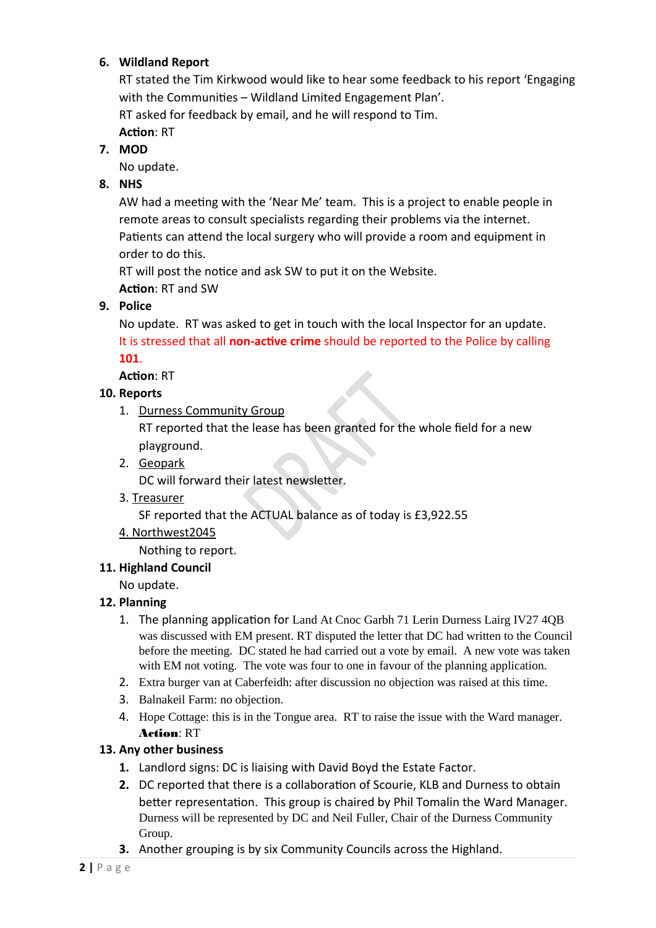## **6. Wildland Report**

RT stated the Tim Kirkwood would like to hear some feedback to his report 'Engaging with the Communities – Wildland Limited Engagement Plan'. RT asked for feedback by email, and he will respond to Tim.

**Action**: RT

**7. MOD**

No update.

**8. NHS**

AW had a meeting with the 'Near Me' team. This is a project to enable people in remote areas to consult specialists regarding their problems via the internet. Patients can attend the local surgery who will provide a room and equipment in order to do this.

RT will post the notice and ask SW to put it on the Website.

**Action**: RT and SW

**9. Police**

No update. RT was asked to get in touch with the local Inspector for an update. It is stressed that all **non-active crime** should be reported to the Police by calling **101**.

**Action**: RT

## **10. Reports**

1. Durness Community Group

RT reported that the lease has been granted for the whole field for a new playground.

2. Geopark

DC will forward their latest newsletter.

3. Treasurer

SF reported that the ACTUAL balance as of today is £3,922.55

4. Northwest2045

Nothing to report.

### **11. Highland Council**

No update.

## **12. Planning**

- 1. The planning application for Land At Cnoc Garbh 71 Lerin Durness Lairg IV27 4QB was discussed with EM present. RT disputed the letter that DC had written to the Council before the meeting. DC stated he had carried out a vote by email. A new vote was taken with EM not voting. The vote was four to one in favour of the planning application.
- 2. Extra burger van at Caberfeidh: after discussion no objection was raised at this time.
- 3. Balnakeil Farm: no objection.
- 4. Hope Cottage: this is in the Tongue area. RT to raise the issue with the Ward manager. Action: RT

## **13. Any other business**

- **1.** Landlord signs: DC is liaising with David Boyd the Estate Factor.
- **2.** DC reported that there is a collaboration of Scourie, KLB and Durness to obtain better representation. This group is chaired by Phil Tomalin the Ward Manager. Durness will be represented by DC and Neil Fuller, Chair of the Durness Community Group.
- **3.** Another grouping is by six Community Councils across the Highland.